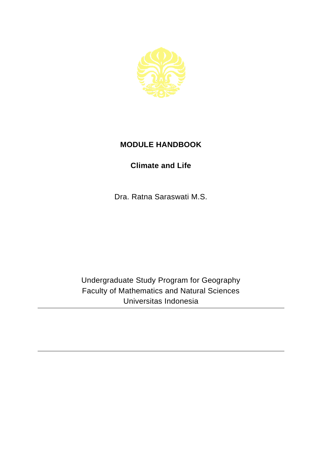

## **MODULE HANDBOOK**

## **Climate and Life**

Dra. Ratna Saraswati M.S.

Undergraduate Study Program for Geography Faculty of Mathematics and Natural Sciences Universitas Indonesia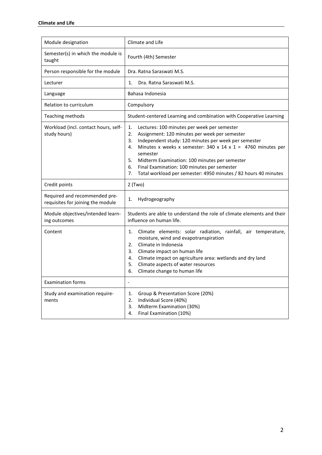| Module designation                                                 | Climate and Life                                                                                                                                                                                                                                                                                                                                                                                                                             |
|--------------------------------------------------------------------|----------------------------------------------------------------------------------------------------------------------------------------------------------------------------------------------------------------------------------------------------------------------------------------------------------------------------------------------------------------------------------------------------------------------------------------------|
| Semester(s) in which the module is<br>taught                       | Fourth (4th) Semester                                                                                                                                                                                                                                                                                                                                                                                                                        |
| Person responsible for the module                                  | Dra. Ratna Saraswati M.S.                                                                                                                                                                                                                                                                                                                                                                                                                    |
| Lecturer                                                           | Dra. Ratna Saraswati M.S.<br>1.                                                                                                                                                                                                                                                                                                                                                                                                              |
| Language                                                           | Bahasa Indonesia                                                                                                                                                                                                                                                                                                                                                                                                                             |
| Relation to curriculum                                             | Compulsory                                                                                                                                                                                                                                                                                                                                                                                                                                   |
| Teaching methods                                                   | Student-centered Learning and combination with Cooperative Learning                                                                                                                                                                                                                                                                                                                                                                          |
| Workload (incl. contact hours, self-<br>study hours)               | 1.<br>Lectures: 100 minutes per week per semester<br>2.<br>Assignment: 120 minutes per week per semester<br>Independent study: 120 minutes per week per semester<br>3.<br>Minutes x weeks x semester: 340 x 14 x 1 = 4760 minutes per<br>4.<br>semester<br>Midterm Examination: 100 minutes per semester<br>5.<br>6.<br>Final Examination: 100 minutes per semester<br>Total workload per semester: 4950 minutes / 82 hours 40 minutes<br>7. |
| Credit points                                                      | $2$ (Two)                                                                                                                                                                                                                                                                                                                                                                                                                                    |
| Required and recommended pre-<br>requisites for joining the module | Hydrogeography<br>1.                                                                                                                                                                                                                                                                                                                                                                                                                         |
| Module objectives/intended learn-<br>ing outcomes                  | Students are able to understand the role of climate elements and their<br>influence on human life.                                                                                                                                                                                                                                                                                                                                           |
| Content                                                            | Climate elements: solar radiation, rainfall, air temperature,<br>1.<br>moisture, wind and evapotranspiration<br>Climate in Indonesia<br>2.<br>Climate impact on human life<br>3.<br>Climate impact on agriculture area: wetlands and dry land<br>4.<br>Climate aspects of water resources<br>5.<br>Climate change to human life<br>6.                                                                                                        |
| <b>Examination forms</b>                                           | $\qquad \qquad \blacksquare$                                                                                                                                                                                                                                                                                                                                                                                                                 |
| Study and examination require-<br>ments                            | Group & Presentation Score (20%)<br>1.<br>2.<br>Individual Score (40%)<br>Midterm Examination (30%)<br>3.<br>Final Examination (10%)<br>4.                                                                                                                                                                                                                                                                                                   |